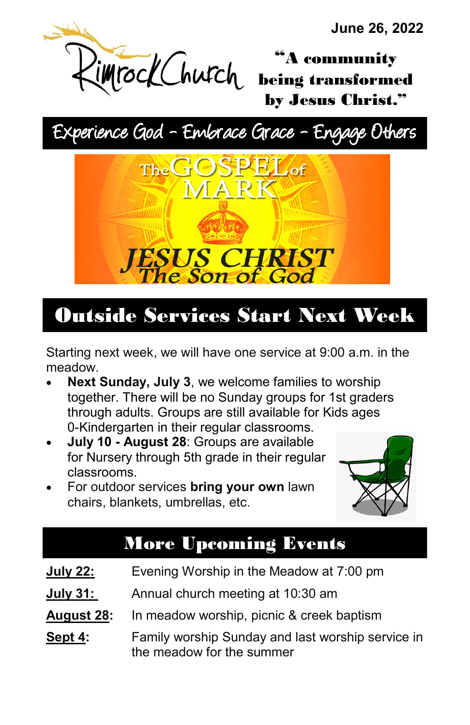**June 26, 2022** 

"A community being transformed by Jesus Christ."

# Experience God - Embrace Grace - Engage Others



## Outside Services Start Next Week

Starting next week, we will have one service at 9:00 a.m. in the meadow.

- **Next Sunday, July 3**, we welcome families to worship together. There will be no Sunday groups for 1st graders through adults. Groups are still available for Kids ages 0-Kindergarten in their regular classrooms.
- **July 10 - August 28**: Groups are available for Nursery through 5th grade in their regular classrooms.
- For outdoor services **bring your own** lawn chairs, blankets, umbrellas, etc.



## More Upcoming Events

- **July 22:** Evening Worship in the Meadow at 7:00 pm
- **July 31:** Annual church meeting at 10:30 am
- **August 28:** In meadow worship, picnic & creek baptism
- **Sept 4:** Family worship Sunday and last worship service in the meadow for the summer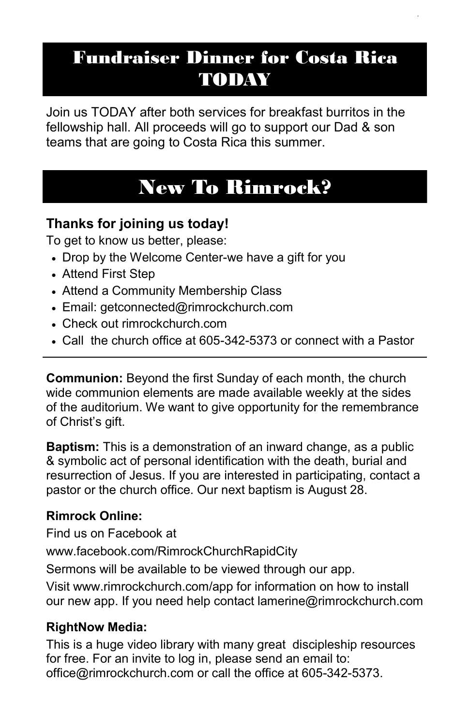## Fundraiser Dinner for Costa Rica TODAY

Join us TODAY after both services for breakfast burritos in the fellowship hall. All proceeds will go to support our Dad & son teams that are going to Costa Rica this summer.

## New To Rimrock?

#### **Thanks for joining us today!**

To get to know us better, please:

- Drop by the Welcome Center-we have a gift for you
- Attend First Step
- Attend a Community Membership Class
- Email: getconnected@rimrockchurch.com
- Check out rimrockchurch.com
- Call the church office at 605-342-5373 or connect with a Pastor

**Communion:** Beyond the first Sunday of each month, the church wide communion elements are made available weekly at the sides of the auditorium. We want to give opportunity for the remembrance of Christ's gift.

**Baptism:** This is a demonstration of an inward change, as a public & symbolic act of personal identification with the death, burial and resurrection of Jesus. If you are interested in participating, contact a pastor or the church office. Our next baptism is August 28.

#### **Rimrock Online:**

Find us on Facebook at

[www.facebook.com/RimrockChurchRapidCity](https://www.facebook.com/RimrockChurchRapidCity)

Sermons will be available to be viewed through our app.

Visit www[.rimrockchurch.com/app](http://rimrockchurch.com/app) for information on how to install our new app. If you need help contact [lamerine@rimrockchurch.com](mailto:lamerine@rimrockchurch.com)

#### **RightNow Media:**

This is a huge video library with many great discipleship resources for free. For an invite to log in, please send an email to: office@rimrockchurch.com or call the office at 605-342-5373.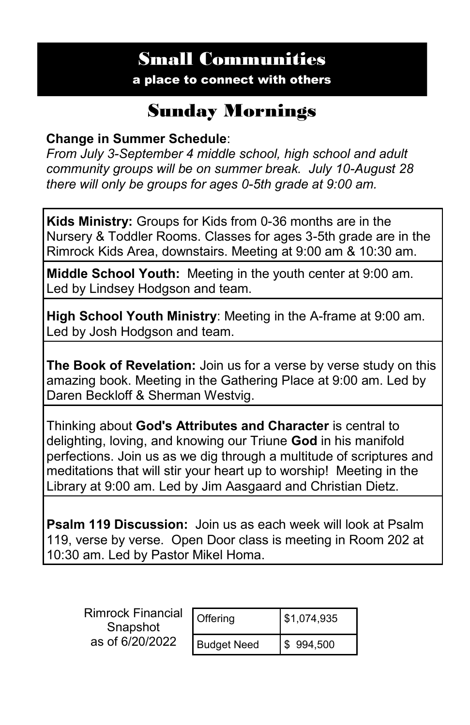## Small Communities

a place to connect with others

### Sunday Mornings

#### **Change in Summer Schedule**:

*From July 3-September 4 middle school, high school and adult community groups will be on summer break. July 10-August 28 there will only be groups for ages 0-5th grade at 9:00 am.* 

**Kids Ministry:** Groups for Kids from 0-36 months are in the Nursery & Toddler Rooms. Classes for ages 3-5th grade are in the Rimrock Kids Area, downstairs. Meeting at 9:00 am & 10:30 am.

**Middle School Youth:** Meeting in the youth center at 9:00 am. Led by Lindsey Hodgson and team.

**High School Youth Ministry**: Meeting in the A-frame at 9:00 am. Led by Josh Hodgson and team.

**The Book of Revelation:** Join us for a verse by verse study on this amazing book. Meeting in the Gathering Place at 9:00 am. Led by Daren Beckloff & Sherman Westvig.

Thinking about **God's Attributes and Character** is central to delighting, loving, and knowing our Triune **God** in his manifold perfections. Join us as we dig through a multitude of scriptures and meditations that will stir your heart up to worship! Meeting in the Library at 9:00 am. Led by Jim Aasgaard and Christian Dietz.

**Psalm 119 Discussion:** Join us as each week will look at Psalm 119, verse by verse. Open Door class is meeting in Room 202 at 10:30 am. Led by Pastor Mikel Homa.

| <b>Rimrock Financial</b><br>Snapshot<br>as of 6/20/2022 | Offering           | \$1,074,935           |
|---------------------------------------------------------|--------------------|-----------------------|
|                                                         | <b>Budget Need</b> | $\frac{1}{2}$ 994,500 |